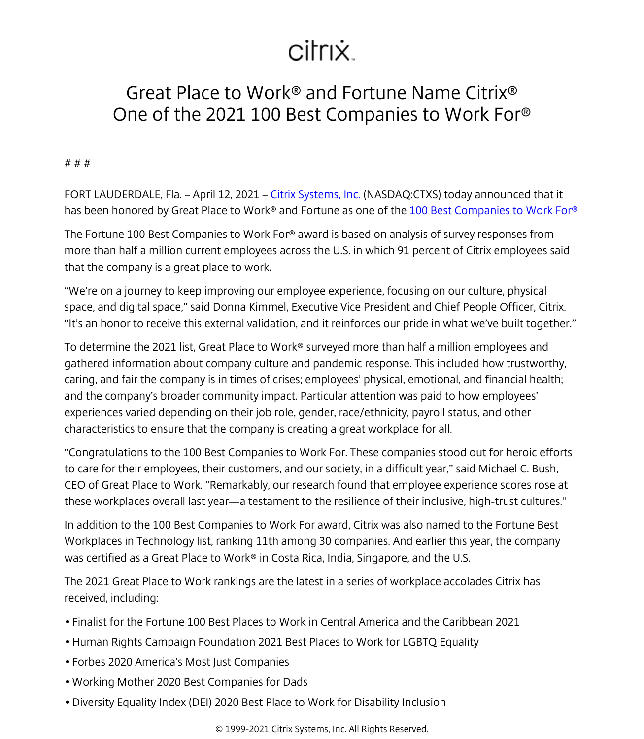## citrix.

## Great Place to Work® and Fortune Name Citrix® One of the 2021 100 Best Companies to Work For®

## # # #

FORT LAUDERDALE, Fla. – April 12, 2021 – [Citrix Systems, Inc.](/content/citrix/es-es/
            .html) (NASDAQ:CTXS) today announced that it has been honored by Great Place to Work® and Fortune as one of the [100 Best Companies to Work For®](https://www.greatplacetowork.com/best-workplaces/100-best/2021)

The Fortune 100 Best Companies to Work For® award is based on analysis of survey responses from more than half a million current employees across the U.S. in which 91 percent of Citrix employees said that the company is a great place to work.

"We're on a journey to keep improving our employee experience, focusing on our culture, physical space, and digital space," said Donna Kimmel, Executive Vice President and Chief People Officer, Citrix. "It's an honor to receive this external validation, and it reinforces our pride in what we've built together."

To determine the 2021 list, Great Place to Work® surveyed more than half a million employees and gathered information about company culture and pandemic response. This included how trustworthy, caring, and fair the company is in times of crises; employees' physical, emotional, and financial health; and the company's broader community impact. Particular attention was paid to how employees' experiences varied depending on their job role, gender, race/ethnicity, payroll status, and other characteristics to ensure that the company is creating a great workplace for all.

"Congratulations to the 100 Best Companies to Work For. These companies stood out for heroic efforts to care for their employees, their customers, and our society, in a difficult year," said Michael C. Bush, CEO of Great Place to Work. "Remarkably, our research found that employee experience scores rose at these workplaces overall last year—a testament to the resilience of their inclusive, high-trust cultures."

In addition to the 100 Best Companies to Work For award, Citrix was also named to the Fortune Best Workplaces in Technology list, ranking 11th among 30 companies. And earlier this year, the company was certified as a Great Place to Work® in Costa Rica, India, Singapore, and the U.S.

The 2021 Great Place to Work rankings are the latest in a series of workplace accolades Citrix has received, including:

- Finalist for the Fortune 100 Best Places to Work in Central America and the Caribbean 2021
- Human Rights Campaign Foundation 2021 Best Places to Work for LGBTQ Equality
- Forbes 2020 America's Most Just Companies
- Working Mother 2020 Best Companies for Dads
- Diversity Equality Index (DEI) 2020 Best Place to Work for Disability Inclusion

© 1999-2021 Citrix Systems, Inc. All Rights Reserved.